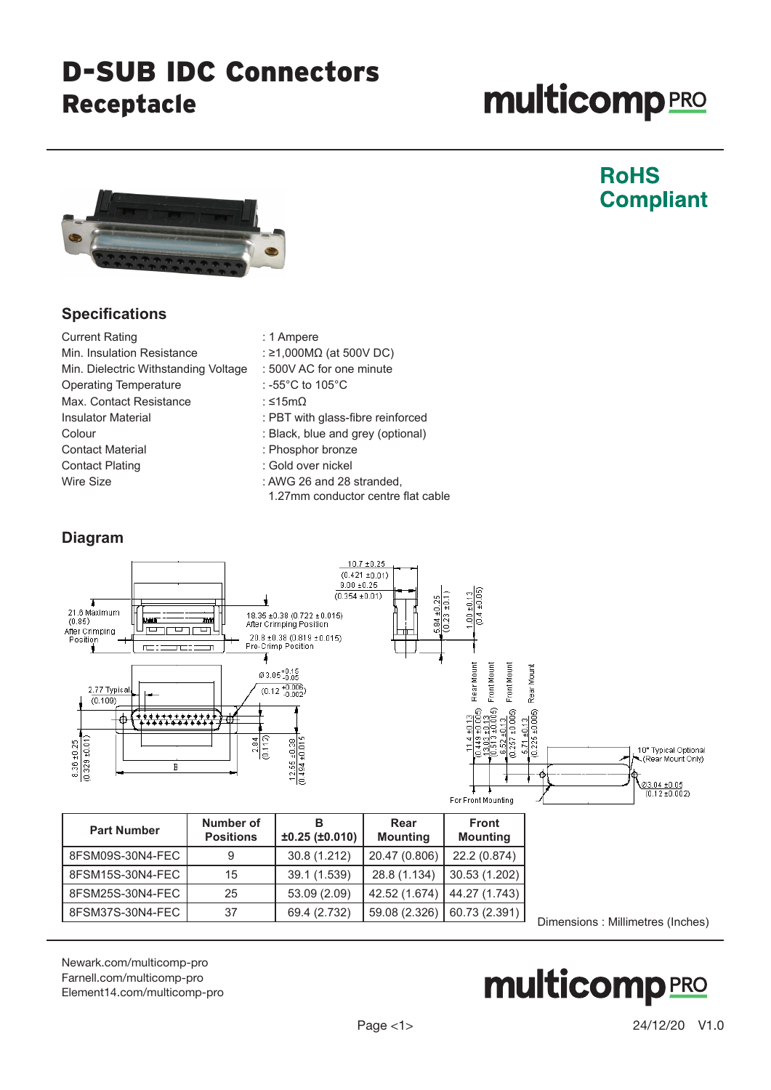### D-SUB IDC Connectors Receptacle

# **multicomp**PRO

**RoHS** 

**Compliant** 



#### **Specifications**

| <b>Current Rating</b>                | : 1 Ampere                                                      |
|--------------------------------------|-----------------------------------------------------------------|
| Min. Insulation Resistance           | : ≥1,000M $\Omega$ (at 500V DC)                                 |
| Min. Dielectric Withstanding Voltage | : 500V AC for one minute                                        |
| <b>Operating Temperature</b>         | : -55 $^{\circ}$ C to 105 $^{\circ}$ C                          |
| Max. Contact Resistance              | : ≤15mΩ                                                         |
| <b>Insulator Material</b>            | : PBT with glass-fibre reinforced                               |
| Colour                               | : Black, blue and grey (optional)                               |
| <b>Contact Material</b>              | : Phosphor bronze                                               |
| <b>Contact Plating</b>               | : Gold over nickel                                              |
| Wire Size                            | : AWG 26 and 28 stranded,<br>1.27mm conductor centre flat cable |

#### **Diagram**



| <b>Part Number</b> | Number of<br><b>Positions</b> | ±0.25(±0.010) | Rear<br><b>Mounting</b> | <b>Front</b><br><b>Mounting</b> |
|--------------------|-------------------------------|---------------|-------------------------|---------------------------------|
| 8FSM09S-30N4-FEC   |                               | 30.8 (1.212)  | 20.47 (0.806)           | 22.2 (0.874)                    |
| 8FSM15S-30N4-FEC   | 15                            | 39.1 (1.539)  | 28.8 (1.134)            | 30.53 (1.202)                   |
| 8FSM25S-30N4-FEC   | 25                            | 53.09 (2.09)  | 42.52 (1.674)           | 44.27 (1.743)                   |
| 8FSM37S-30N4-FEC   | 37                            | 69.4 (2.732)  | 59.08 (2.326)           | 60.73 (2.391)                   |

Dimensions : Millimetres (Inches)

[Newark.com/multicomp-](https://www.newark.com/multicomp-pro)pro [Farnell.com/multicomp](https://www.farnell.com/multicomp-pro)-pro [Element14.com/multicomp-pro](https://element14.com/multicomp-pro)

## **multicomp**PRO